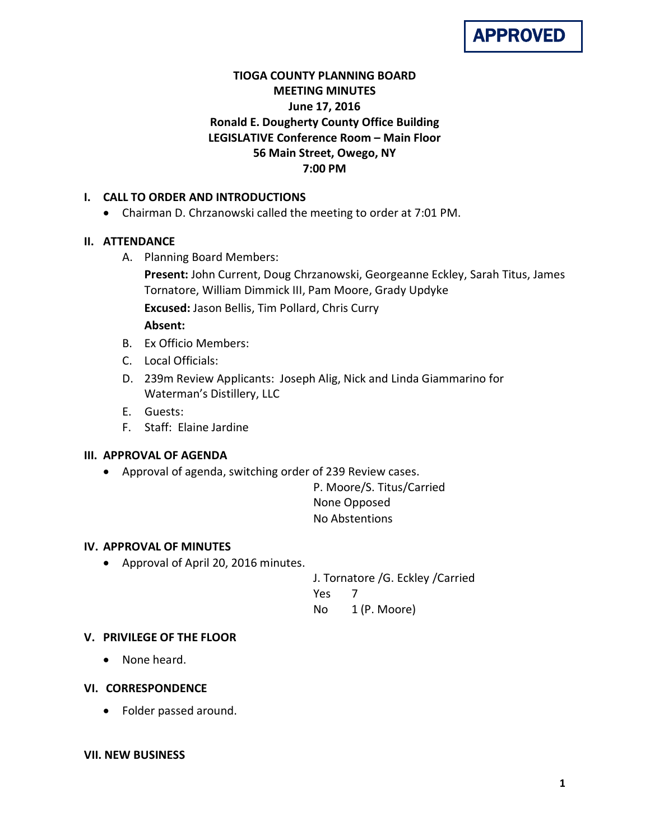

# **TIOGA COUNTY PLANNING BOARD MEETING MINUTES June 17, 2016 Ronald E. Dougherty County Office Building LEGISLATIVE Conference Room – Main Floor 56 Main Street, Owego, NY 7:00 PM**

## **I. CALL TO ORDER AND INTRODUCTIONS**

• Chairman D. Chrzanowski called the meeting to order at 7:01 PM.

### **II. ATTENDANCE**

A. Planning Board Members:

**Present:** John Current, Doug Chrzanowski, Georgeanne Eckley, Sarah Titus, James Tornatore, William Dimmick III, Pam Moore, Grady Updyke **Excused:** Jason Bellis, Tim Pollard, Chris Curry

## **Absent:**

- B. Ex Officio Members:
- C. Local Officials:
- D. 239m Review Applicants: Joseph Alig, Nick and Linda Giammarino for Waterman's Distillery, LLC
- E. Guests:
- F. Staff: Elaine Jardine

### **III. APPROVAL OF AGENDA**

• Approval of agenda, switching order of 239 Review cases.

P. Moore/S. Titus/Carried None Opposed No Abstentions

### **IV. APPROVAL OF MINUTES**

• Approval of April 20, 2016 minutes.

J. Tornatore /G. Eckley /Carried Yes 7 No 1 (P. Moore)

### **V. PRIVILEGE OF THE FLOOR**

• None heard.

### **VI. CORRESPONDENCE**

• Folder passed around.

#### **VII. NEW BUSINESS**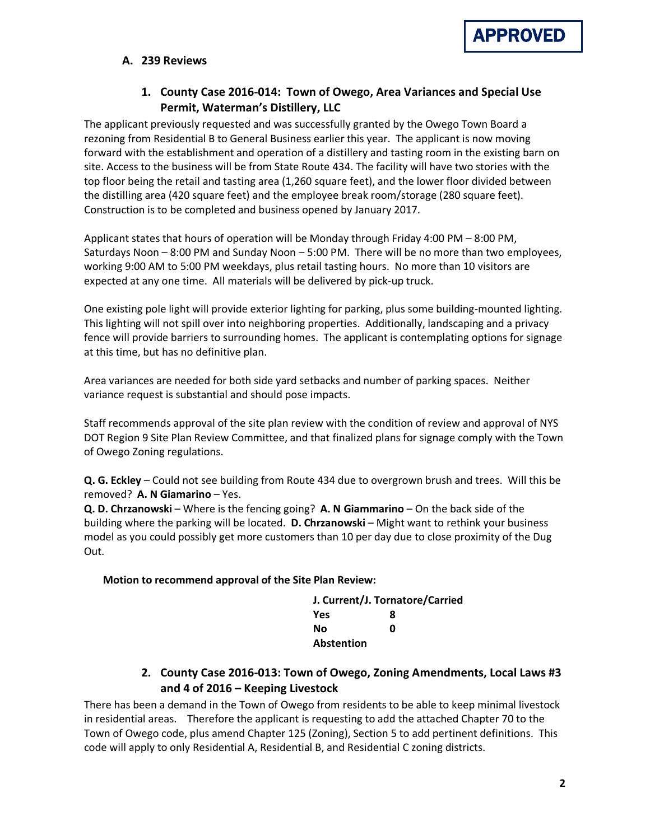

### **A. 239 Reviews**

## **1. County Case 2016-014: Town of Owego, Area Variances and Special Use Permit, Waterman's Distillery, LLC**

The applicant previously requested and was successfully granted by the Owego Town Board a rezoning from Residential B to General Business earlier this year. The applicant is now moving forward with the establishment and operation of a distillery and tasting room in the existing barn on site. Access to the business will be from State Route 434. The facility will have two stories with the top floor being the retail and tasting area (1,260 square feet), and the lower floor divided between the distilling area (420 square feet) and the employee break room/storage (280 square feet). Construction is to be completed and business opened by January 2017.

Applicant states that hours of operation will be Monday through Friday 4:00 PM – 8:00 PM, Saturdays Noon – 8:00 PM and Sunday Noon – 5:00 PM. There will be no more than two employees, working 9:00 AM to 5:00 PM weekdays, plus retail tasting hours. No more than 10 visitors are expected at any one time. All materials will be delivered by pick-up truck.

One existing pole light will provide exterior lighting for parking, plus some building-mounted lighting. This lighting will not spill over into neighboring properties. Additionally, landscaping and a privacy fence will provide barriers to surrounding homes. The applicant is contemplating options for signage at this time, but has no definitive plan.

Area variances are needed for both side yard setbacks and number of parking spaces. Neither variance request is substantial and should pose impacts.

Staff recommends approval of the site plan review with the condition of review and approval of NYS DOT Region 9 Site Plan Review Committee, and that finalized plans for signage comply with the Town of Owego Zoning regulations.

**Q. G. Eckley** – Could not see building from Route 434 due to overgrown brush and trees. Will this be removed? **A. N Giamarino** – Yes.

**Q. D. Chrzanowski** – Where is the fencing going? **A. N Giammarino** – On the back side of the building where the parking will be located. **D. Chrzanowski** – Might want to rethink your business model as you could possibly get more customers than 10 per day due to close proximity of the Dug Out.

#### **Motion to recommend approval of the Site Plan Review:**

|                   | J. Current/J. Tornatore/Carried |
|-------------------|---------------------------------|
| Yes               | 8                               |
| No                | ŋ                               |
| <b>Abstention</b> |                                 |

## **2. County Case 2016-013: Town of Owego, Zoning Amendments, Local Laws #3 and 4 of 2016 – Keeping Livestock**

There has been a demand in the Town of Owego from residents to be able to keep minimal livestock in residential areas. Therefore the applicant is requesting to add the attached Chapter 70 to the Town of Owego code, plus amend Chapter 125 (Zoning), Section 5 to add pertinent definitions. This code will apply to only Residential A, Residential B, and Residential C zoning districts.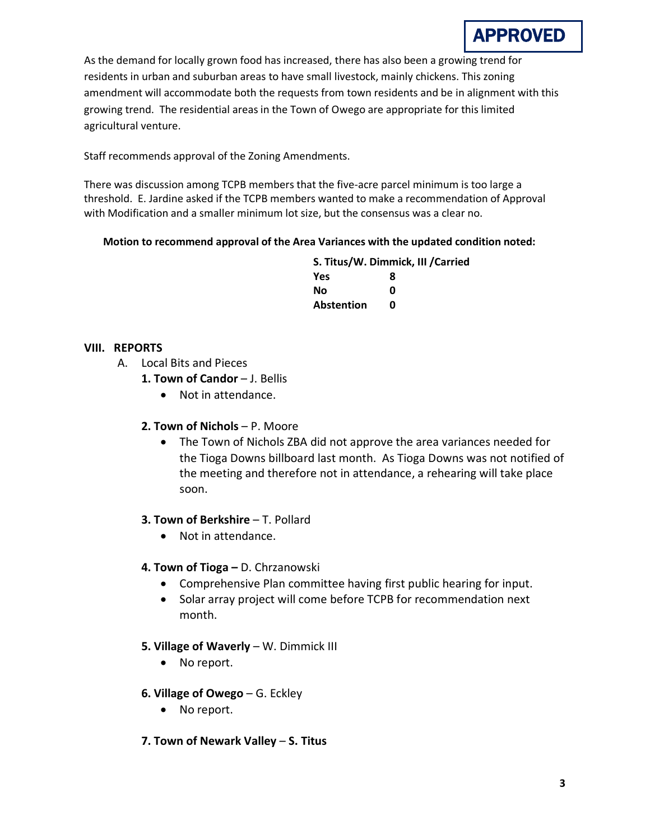

As the demand for locally grown food has increased, there has also been a growing trend for residents in urban and suburban areas to have small livestock, mainly chickens. This zoning amendment will accommodate both the requests from town residents and be in alignment with this growing trend. The residential areas in the Town of Owego are appropriate for this limited agricultural venture.

Staff recommends approval of the Zoning Amendments.

There was discussion among TCPB members that the five-acre parcel minimum is too large a threshold. E. Jardine asked if the TCPB members wanted to make a recommendation of Approval with Modification and a smaller minimum lot size, but the consensus was a clear no.

#### **Motion to recommend approval of the Area Variances with the updated condition noted:**

|                   | S. Titus/W. Dimmick, III / Carried |  |
|-------------------|------------------------------------|--|
| Yes               | 8                                  |  |
| No                | n                                  |  |
| <b>Abstention</b> | n                                  |  |

#### **VIII. REPORTS**

- A. Local Bits and Pieces
	- 1. Town of Candor J. Bellis
		- Not in attendance.

### **2. Town of Nichols** – P. Moore

• The Town of Nichols ZBA did not approve the area variances needed for the Tioga Downs billboard last month. As Tioga Downs was not notified of the meeting and therefore not in attendance, a rehearing will take place soon.

### **3. Town of Berkshire - T. Pollard**

• Not in attendance.

### **4. Town of Tioga –** D. Chrzanowski

- Comprehensive Plan committee having first public hearing for input.
- Solar array project will come before TCPB for recommendation next month.

### **5. Village of Waverly** – W. Dimmick III

- No report.
- **6. Village of Owego** G. Eckley
	- No report.

### **7. Town of Newark Valley** – **S. Titus**